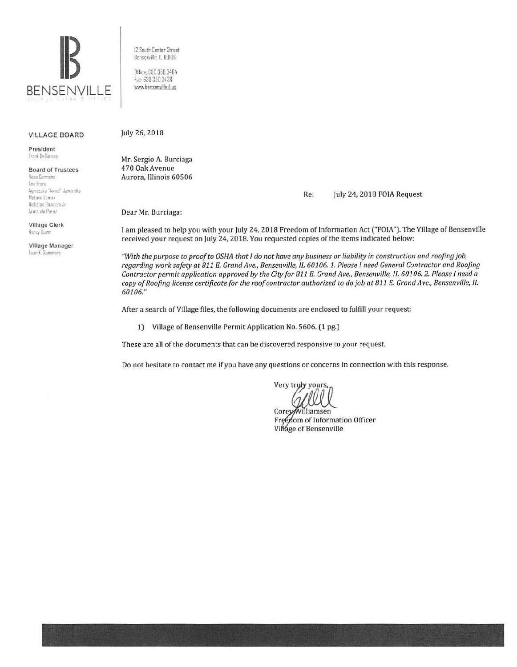

12 South Center Streel Bensemille ll 60!06

Office. 630 350 3401;  $Fax 630.350.3438$ www.bensenville.il us

## VILLAGE BOARD

President Frank DeSimone

Board of Trustees

**Rosa Carmona** Ann Franz Aqmas*tka* "Anne" Jaworska McLane Lomax llichnlas Paninha .\*r Armando Perez

Village Clerk Nancy Gumn

Village Manager Evan K. Summers

July 26, 2018

Mr. Sergio A. Burciaga 470 Oak Avenue Aurora, Illinois 60506

Re: July 24, 2018 FOIA Request

Dear Mr. Burciaga:

I am pleased to help you with your July 24, 2018 Freedom of Information Act ("FOJA"). The Village of Bensenville received your request on July 24, 2018. You requested copies of the items indicated below:

*"With the purpose to proof to OSHA that I do not have any business or liability in construction and roofing job, regarding work safety at* 811 *E. Grar1d Ave., Bensenville, IL* 60106. 1. *Please I need General Contractor and Roofing Contractor permit application approved by the City for* 811 £. *Grand Ave., Bensenville,* ll 60106. *2. Please I need a copy of Roofing license certificate for the roof contractor authorized to do job at 811 E. Grand Ave., Bensenville, IL* 60106."

After a search of Village files, the following documents are enclosed to fulfill your request:

1) Village of Bensenville Permit Application No. 5606. (1 pg.)

These are all of the documents that can be discovered responsive to your request.

Do not hesitate to contact me if you have any questions or concerns in connection with this response.

Very tryly yours,

Corey/Williamsen Freedom of Information Officer Village of Bensenville